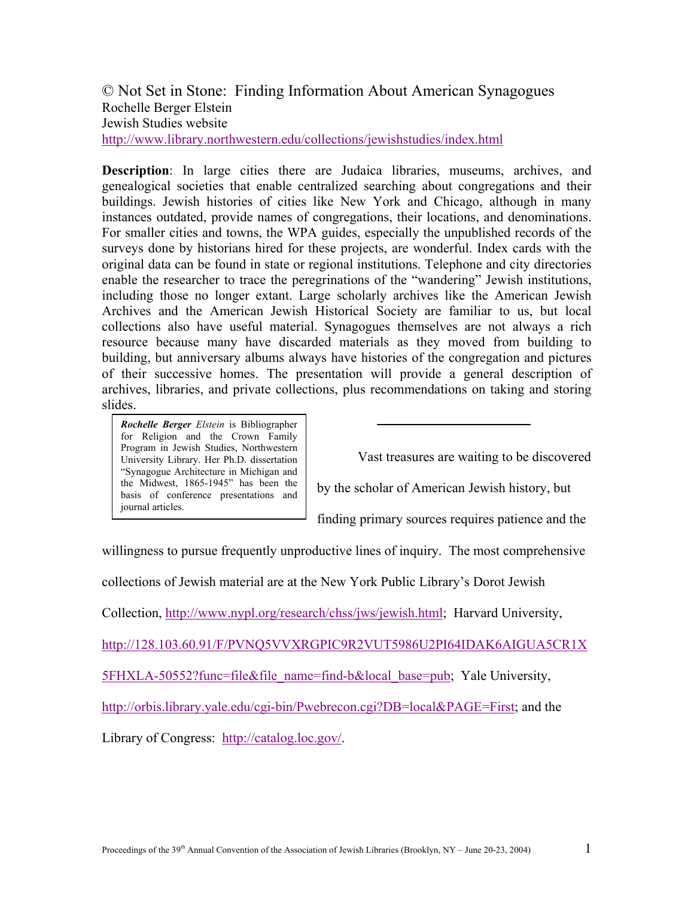© Not Set in Stone: Finding Information About American Synagogues Rochelle Berger Elstein Jewish Studies website <http://www.library.northwestern.edu/collections/jewishstudies/index.html>

**Description**: In large cities there are Judaica libraries, museums, archives, and genealogical societies that enable centralized searching about congregations and their buildings. Jewish histories of cities like New York and Chicago, although in many instances outdated, provide names of congregations, their locations, and denominations. For smaller cities and towns, the WPA guides, especially the unpublished records of the surveys done by historians hired for these projects, are wonderful. Index cards with the original data can be found in state or regional institutions. Telephone and city directories enable the researcher to trace the peregrinations of the "wandering" Jewish institutions, including those no longer extant. Large scholarly archives like the American Jewish Archives and the American Jewish Historical Society are familiar to us, but local collections also have useful material. Synagogues themselves are not always a rich resource because many have discarded materials as they moved from building to building, but anniversary albums always have histories of the congregation and pictures of their successive homes. The presentation will provide a general description of archives, libraries, and private collections, plus recommendations on taking and storing slides.

*Rochelle Berger Elstein* is Bibliographer for Religion and the Crown Family Program in Jewish Studies, Northwestern University Library. Her Ph.D. dissertation "Synagogue Architecture in Michigan and the Midwest, 1865-1945" has been the basis of conference presentations and journal articles.

Vast treasures are waiting to be discovered

by the scholar of American Jewish history, but

finding primary sources requires patience and the

willingness to pursue frequently unproductive lines of inquiry. The most comprehensive

collections of Jewish material are at the New York Public Library's Dorot Jewish

Collection, [http://www.nypl.org/research/chss/jws/jewish.html;](http://www.nypl.org/research/chss/jws/jewish.html) Harvard University,

<http://128.103.60.91/F/PVNQ5VVXRGPIC9R2VUT5986U2PI64IDAK6AIGUA5CR1X>

5FHXLA-50552?func=file&file\_name=find-b&local\_base=pub; Yale University,

[http://orbis.library.yale.edu/cgi-bin/Pwebrecon.cgi?DB=local&PAGE=First;](http://orbis.library.yale.edu/cgi-bin/Pwebrecon.cgi?DB=local&PAGE=First) and the

Library of Congress: [http://catalog.loc.gov/.](http://catalog.loc.gov/)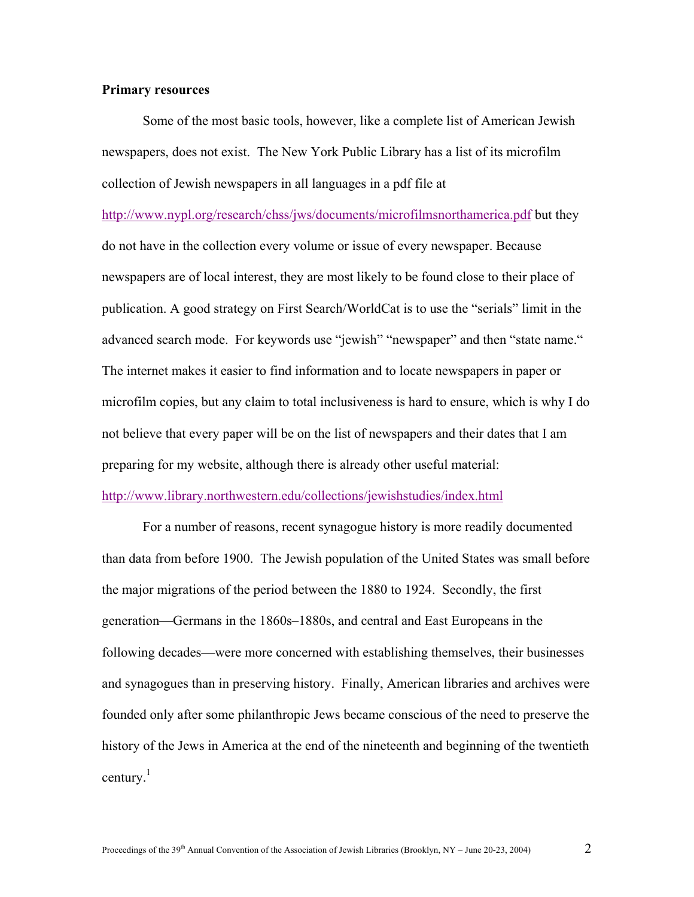# **Primary resources**

Some of the most basic tools, however, like a complete list of American Jewish newspapers, does not exist. The New York Public Library has a list of its microfilm collection of Jewish newspapers in all languages in a pdf file at

<http://www.nypl.org/research/chss/jws/documents/microfilmsnorthamerica.pdf>but they do not have in the collection every volume or issue of every newspaper. Because newspapers are of local interest, they are most likely to be found close to their place of publication. A good strategy on First Search/WorldCat is to use the "serials" limit in the advanced search mode. For keywords use "jewish" "newspaper" and then "state name." The internet makes it easier to find information and to locate newspapers in paper or microfilm copies, but any claim to total inclusiveness is hard to ensure, which is why I do not believe that every paper will be on the list of newspapers and their dates that I am preparing for my website, although there is already other useful material:

## <http://www.library.northwestern.edu/collections/jewishstudies/index.html>

 For a number of reasons, recent synagogue history is more readily documented than data from before 1900. The Jewish population of the United States was small before the major migrations of the period between the 1880 to 1924. Secondly, the first generation—Germans in the 1860s–1880s, and central and East Europeans in the following decades—were more concerned with establishing themselves, their businesses and synagogues than in preserving history. Finally, American libraries and archives were founded only after some philanthropic Jews became conscious of the need to preserve the history of the Jews in America at the end of the nineteenth and beginning of the twentieth century. $<sup>1</sup>$ </sup>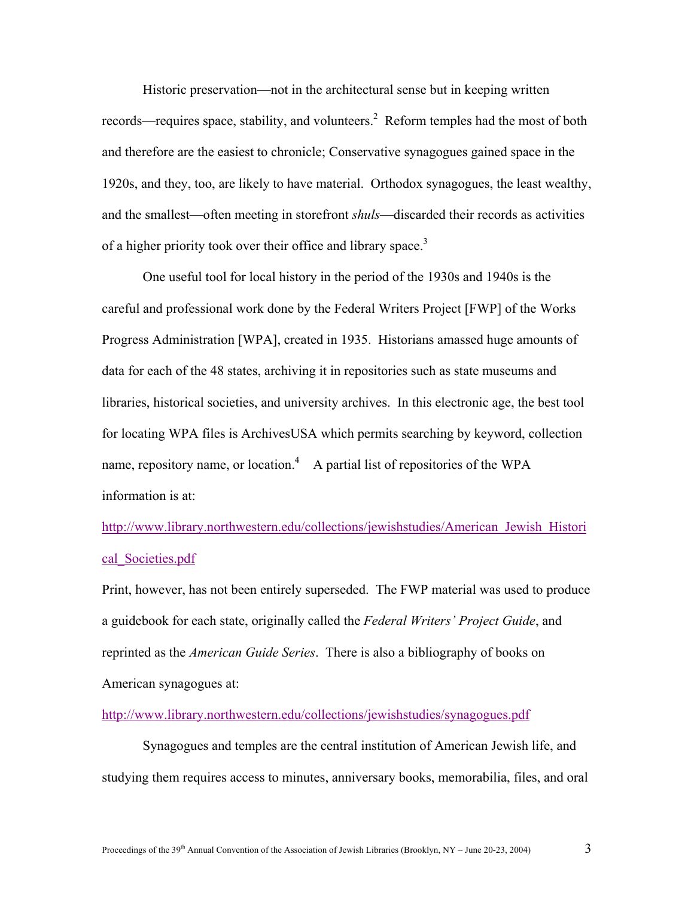Historic preservation—not in the architectural sense but in keeping written records—requires space, stability, and volunteers.<sup>2</sup> Reform temples had the most of both and therefore are the easiest to chronicle; Conservative synagogues gained space in the 1920s, and they, too, are likely to have material. Orthodox synagogues, the least wealthy, and the smallest—often meeting in storefront *shuls*—discarded their records as activities of a higher priority took over their office and library space.<sup>3</sup>

One useful tool for local history in the period of the 1930s and 1940s is the careful and professional work done by the Federal Writers Project [FWP] of the Works Progress Administration [WPA], created in 1935. Historians amassed huge amounts of data for each of the 48 states, archiving it in repositories such as state museums and libraries, historical societies, and university archives. In this electronic age, the best tool for locating WPA files is ArchivesUSA which permits searching by keyword, collection name, repository name, or location.<sup>4</sup> A partial list of repositories of the WPA information is at:

[http://www.library.northwestern.edu/collections/jewishstudies/American\\_Jewish\\_Histori](http://www.library.northwestern.edu/collections/jewishstudies/American_Jewish_Histori) cal\_Societies.pdf

Print, however, has not been entirely superseded. The FWP material was used to produce a guidebook for each state, originally called the *Federal Writers' Project Guide*, and reprinted as the *American Guide Series*. There is also a bibliography of books on American synagogues at:

# <http://www.library.northwestern.edu/collections/jewishstudies/synagogues.pdf>

Synagogues and temples are the central institution of American Jewish life, and studying them requires access to minutes, anniversary books, memorabilia, files, and oral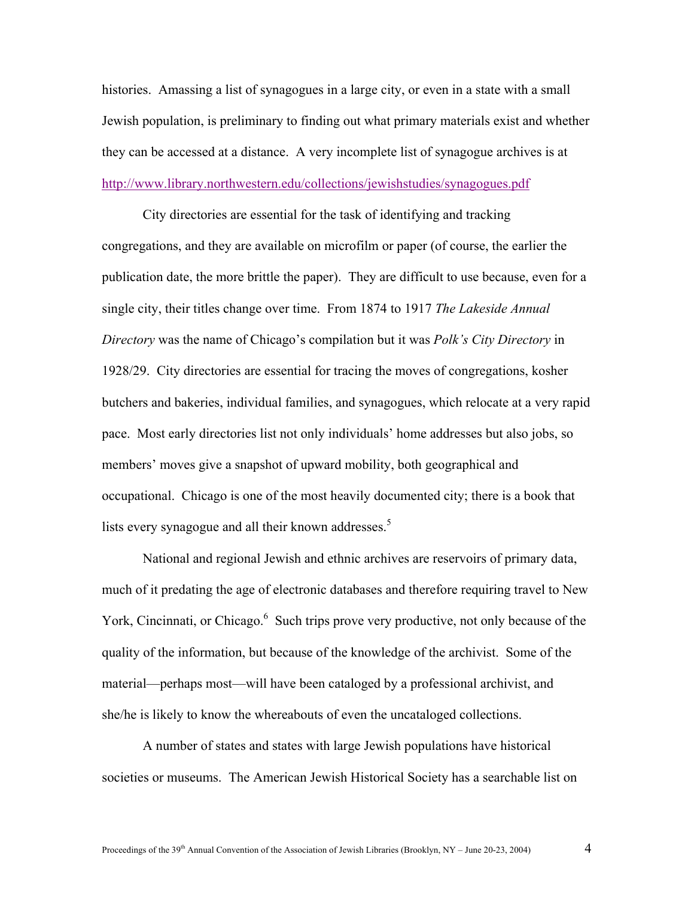histories. Amassing a list of synagogues in a large city, or even in a state with a small Jewish population, is preliminary to finding out what primary materials exist and whether they can be accessed at a distance. A very incomplete list of synagogue archives is at <http://www.library.northwestern.edu/collections/jewishstudies/synagogues.pdf>

 City directories are essential for the task of identifying and tracking congregations, and they are available on microfilm or paper (of course, the earlier the publication date, the more brittle the paper). They are difficult to use because, even for a single city, their titles change over time. From 1874 to 1917 *The Lakeside Annual Directory* was the name of Chicago's compilation but it was *Polk's City Directory* in 1928/29. City directories are essential for tracing the moves of congregations, kosher butchers and bakeries, individual families, and synagogues, which relocate at a very rapid pace. Most early directories list not only individuals' home addresses but also jobs, so members' moves give a snapshot of upward mobility, both geographical and occupational. Chicago is one of the most heavily documented city; there is a book that lists every synagogue and all their known addresses. $5$ 

 National and regional Jewish and ethnic archives are reservoirs of primary data, much of it predating the age of electronic databases and therefore requiring travel to New York, Cincinnati, or Chicago.<sup>6</sup> Such trips prove very productive, not only because of the quality of the information, but because of the knowledge of the archivist. Some of the material—perhaps most—will have been cataloged by a professional archivist, and she/he is likely to know the whereabouts of even the uncataloged collections.

A number of states and states with large Jewish populations have historical societies or museums. The American Jewish Historical Society has a searchable list on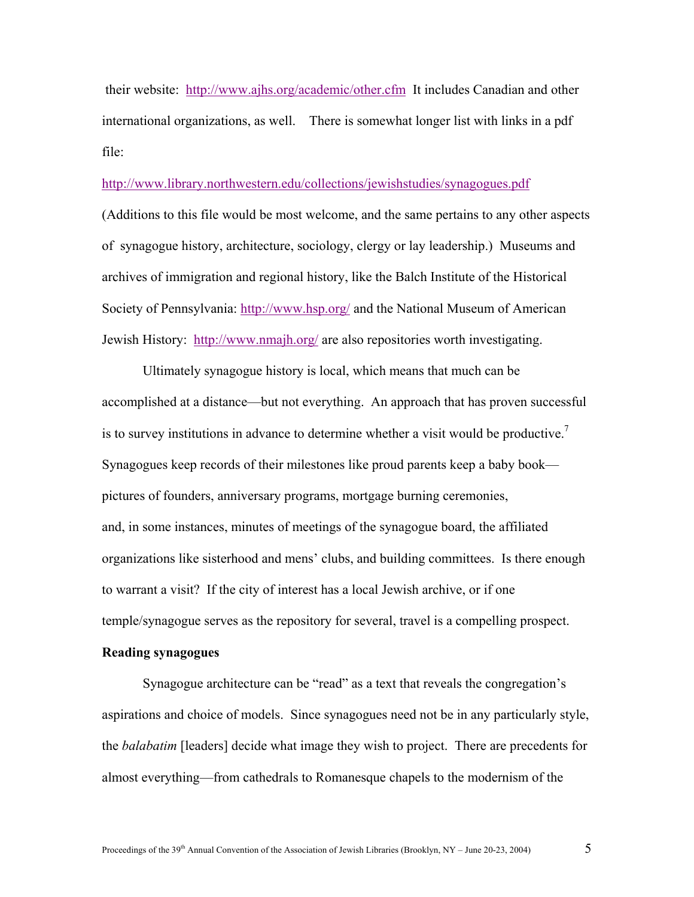their website: <http://www.ajhs.org/academic/other.cfm> It includes Canadian and other international organizations, as well. There is somewhat longer list with links in a pdf file:

## <http://www.library.northwestern.edu/collections/jewishstudies/synagogues.pdf>

(Additions to this file would be most welcome, and the same pertains to any other aspects of synagogue history, architecture, sociology, clergy or lay leadership.) Museums and archives of immigration and regional history, like the Balch Institute of the Historical Society of Pennsylvania:<http://www.hsp.org/> and the National Museum of American Jewish History: <http://www.nmajh.org/> are also repositories worth investigating.

 Ultimately synagogue history is local, which means that much can be accomplished at a distance—but not everything. An approach that has proven successful is to survey institutions in advance to determine whether a visit would be productive.<sup>7</sup> Synagogues keep records of their milestones like proud parents keep a baby book pictures of founders, anniversary programs, mortgage burning ceremonies, and, in some instances, minutes of meetings of the synagogue board, the affiliated organizations like sisterhood and mens' clubs, and building committees. Is there enough to warrant a visit? If the city of interest has a local Jewish archive, or if one temple/synagogue serves as the repository for several, travel is a compelling prospect.

### **Reading synagogues**

Synagogue architecture can be "read" as a text that reveals the congregation's aspirations and choice of models. Since synagogues need not be in any particularly style, the *balabatim* [leaders] decide what image they wish to project. There are precedents for almost everything—from cathedrals to Romanesque chapels to the modernism of the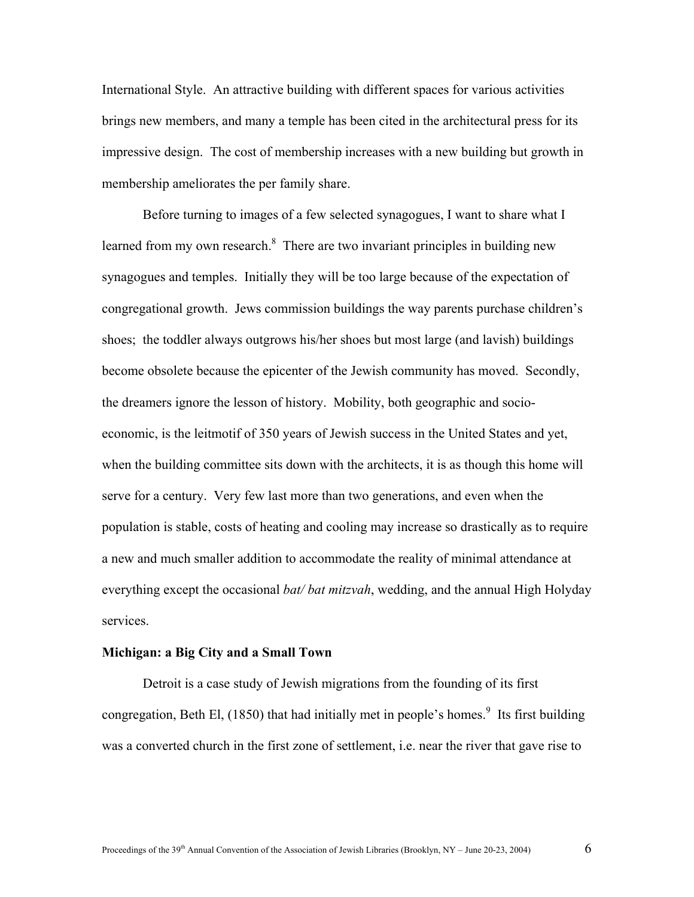International Style. An attractive building with different spaces for various activities brings new members, and many a temple has been cited in the architectural press for its impressive design. The cost of membership increases with a new building but growth in membership ameliorates the per family share.

Before turning to images of a few selected synagogues, I want to share what I learned from my own research. $8$  There are two invariant principles in building new synagogues and temples. Initially they will be too large because of the expectation of congregational growth. Jews commission buildings the way parents purchase children's shoes; the toddler always outgrows his/her shoes but most large (and lavish) buildings become obsolete because the epicenter of the Jewish community has moved. Secondly, the dreamers ignore the lesson of history. Mobility, both geographic and socioeconomic, is the leitmotif of 350 years of Jewish success in the United States and yet, when the building committee sits down with the architects, it is as though this home will serve for a century. Very few last more than two generations, and even when the population is stable, costs of heating and cooling may increase so drastically as to require a new and much smaller addition to accommodate the reality of minimal attendance at everything except the occasional *bat/ bat mitzvah*, wedding, and the annual High Holyday services.

#### **Michigan: a Big City and a Small Town**

 Detroit is a case study of Jewish migrations from the founding of its first congregation, Beth El,  $(1850)$  that had initially met in people's homes.<sup>9</sup> Its first building was a converted church in the first zone of settlement, i.e. near the river that gave rise to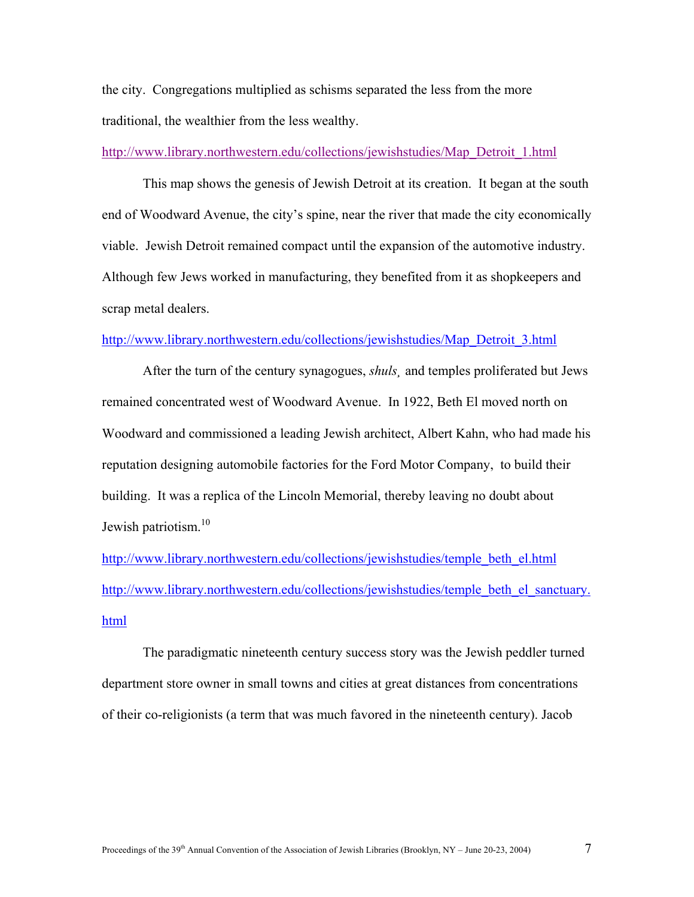the city. Congregations multiplied as schisms separated the less from the more traditional, the wealthier from the less wealthy.

[http://www.library.northwestern.edu/collections/jewishstudies/Map\\_Detroit\\_1.html](http://www.library.northwestern.edu/collections/jewishstudies/Map_Detroit_1.html)

This map shows the genesis of Jewish Detroit at its creation. It began at the south end of Woodward Avenue, the city's spine, near the river that made the city economically viable. Jewish Detroit remained compact until the expansion of the automotive industry. Although few Jews worked in manufacturing, they benefited from it as shopkeepers and scrap metal dealers.

### [http://www.library.northwestern.edu/collections/jewishstudies/Map\\_Detroit\\_3.html](http://www.library.northwestern.edu/collections/jewishstudies/Map_Detroit_3.html)

After the turn of the century synagogues, *shuls¸* and temples proliferated but Jews remained concentrated west of Woodward Avenue. In 1922, Beth El moved north on Woodward and commissioned a leading Jewish architect, Albert Kahn, who had made his reputation designing automobile factories for the Ford Motor Company, to build their building. It was a replica of the Lincoln Memorial, thereby leaving no doubt about Jewish patriotism.<sup>10</sup>

[http://www.library.northwestern.edu/collections/jewishstudies/temple\\_beth\\_el.html](http://www.library.northwestern.edu/collections/jewishstudies/temple_beth_el.html) [http://www.library.northwestern.edu/collections/jewishstudies/temple\\_beth\\_el\\_sanctuary.](http://www.library.northwestern.edu/collections/jewishstudies/temple_beth_el_sanctuary) html

 The paradigmatic nineteenth century success story was the Jewish peddler turned department store owner in small towns and cities at great distances from concentrations of their co-religionists (a term that was much favored in the nineteenth century). Jacob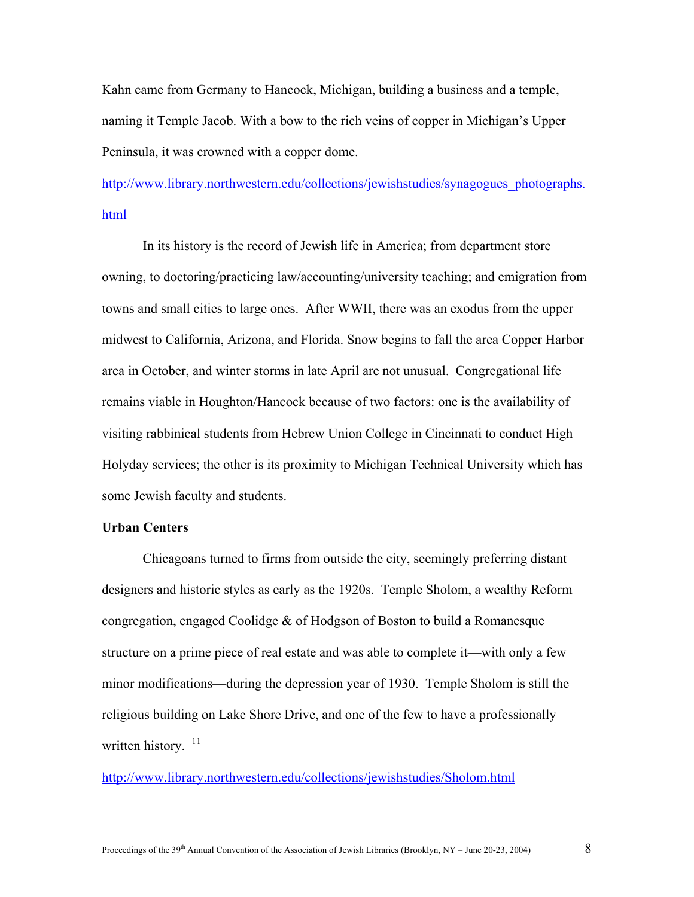Kahn came from Germany to Hancock, Michigan, building a business and a temple, naming it Temple Jacob. With a bow to the rich veins of copper in Michigan's Upper Peninsula, it was crowned with a copper dome.

[http://www.library.northwestern.edu/collections/jewishstudies/synagogues\\_photographs.](http://www.library.northwestern.edu/collections/jewishstudies/synagogues_photographs) html

In its history is the record of Jewish life in America; from department store owning, to doctoring/practicing law/accounting/university teaching; and emigration from towns and small cities to large ones. After WWII, there was an exodus from the upper midwest to California, Arizona, and Florida. Snow begins to fall the area Copper Harbor area in October, and winter storms in late April are not unusual. Congregational life remains viable in Houghton/Hancock because of two factors: one is the availability of visiting rabbinical students from Hebrew Union College in Cincinnati to conduct High Holyday services; the other is its proximity to Michigan Technical University which has some Jewish faculty and students.

## **Urban Centers**

 Chicagoans turned to firms from outside the city, seemingly preferring distant designers and historic styles as early as the 1920s. Temple Sholom, a wealthy Reform congregation, engaged Coolidge & of Hodgson of Boston to build a Romanesque structure on a prime piece of real estate and was able to complete it—with only a few minor modifications—during the depression year of 1930. Temple Sholom is still the religious building on Lake Shore Drive, and one of the few to have a professionally written history.  $11$ 

<http://www.library.northwestern.edu/collections/jewishstudies/Sholom.html>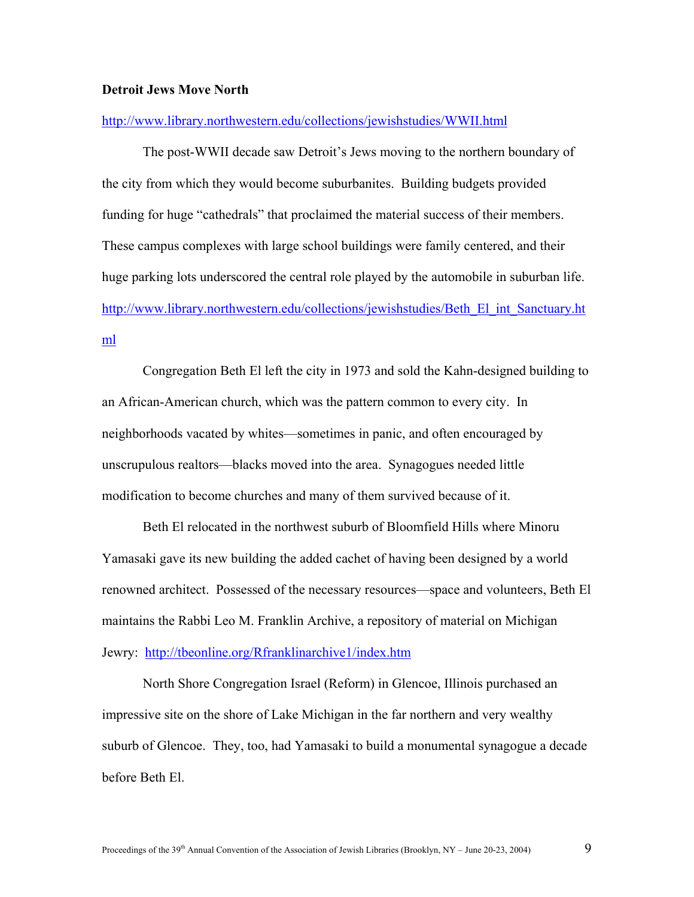## **Detroit Jews Move North**

#### <http://www.library.northwestern.edu/collections/jewishstudies/WWII.html>

The post-WWII decade saw Detroit's Jews moving to the northern boundary of the city from which they would become suburbanites. Building budgets provided funding for huge "cathedrals" that proclaimed the material success of their members. These campus complexes with large school buildings were family centered, and their huge parking lots underscored the central role played by the automobile in suburban life. [http://www.library.northwestern.edu/collections/jewishstudies/Beth\\_El\\_int\\_Sanctuary.ht](http://www.library.northwestern.edu/collections/jewishstudies/Beth_El_int_Sanctuary.ht) ml

 Congregation Beth El left the city in 1973 and sold the Kahn-designed building to an African-American church, which was the pattern common to every city. In neighborhoods vacated by whites—sometimes in panic, and often encouraged by unscrupulous realtors—blacks moved into the area. Synagogues needed little modification to become churches and many of them survived because of it.

Beth El relocated in the northwest suburb of Bloomfield Hills where Minoru Yamasaki gave its new building the added cachet of having been designed by a world renowned architect. Possessed of the necessary resources—space and volunteers, Beth El maintains the Rabbi Leo M. Franklin Archive, a repository of material on Michigan Jewry: <http://tbeonline.org/Rfranklinarchive1/index.htm>

North Shore Congregation Israel (Reform) in Glencoe, Illinois purchased an impressive site on the shore of Lake Michigan in the far northern and very wealthy suburb of Glencoe. They, too, had Yamasaki to build a monumental synagogue a decade before Beth El.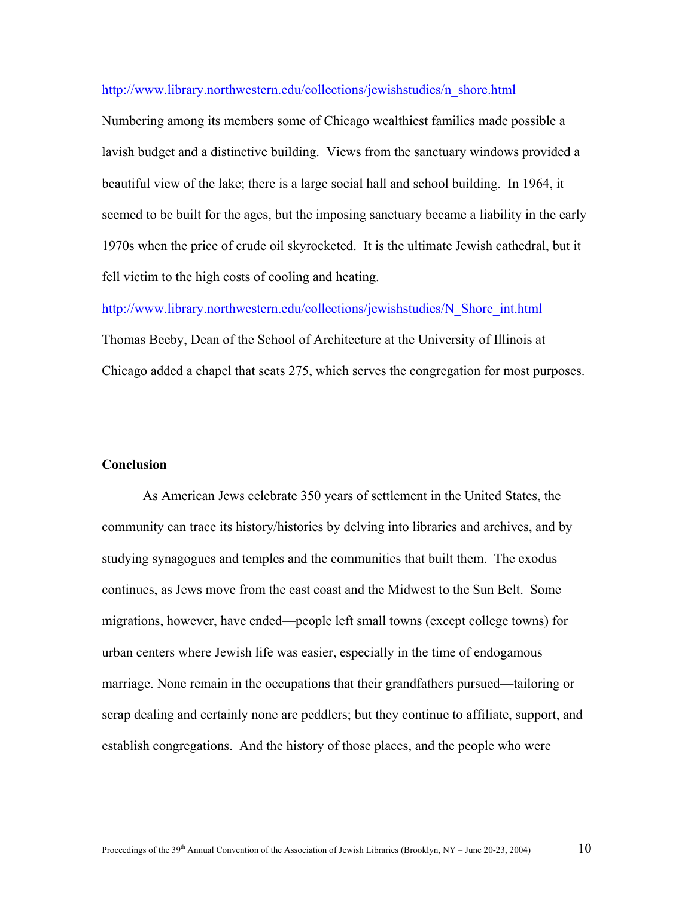## [http://www.library.northwestern.edu/collections/jewishstudies/n\\_shore.html](http://www.library.northwestern.edu/collections/jewishstudies/n_shore.html)

Numbering among its members some of Chicago wealthiest families made possible a lavish budget and a distinctive building. Views from the sanctuary windows provided a beautiful view of the lake; there is a large social hall and school building. In 1964, it seemed to be built for the ages, but the imposing sanctuary became a liability in the early 1970s when the price of crude oil skyrocketed. It is the ultimate Jewish cathedral, but it fell victim to the high costs of cooling and heating.

[http://www.library.northwestern.edu/collections/jewishstudies/N\\_Shore\\_int.html](http://www.library.northwestern.edu/collections/jewishstudies/N_Shore_int.html) Thomas Beeby, Dean of the School of Architecture at the University of Illinois at Chicago added a chapel that seats 275, which serves the congregation for most purposes.

### **Conclusion**

As American Jews celebrate 350 years of settlement in the United States, the community can trace its history/histories by delving into libraries and archives, and by studying synagogues and temples and the communities that built them. The exodus continues, as Jews move from the east coast and the Midwest to the Sun Belt. Some migrations, however, have ended—people left small towns (except college towns) for urban centers where Jewish life was easier, especially in the time of endogamous marriage. None remain in the occupations that their grandfathers pursued—tailoring or scrap dealing and certainly none are peddlers; but they continue to affiliate, support, and establish congregations. And the history of those places, and the people who were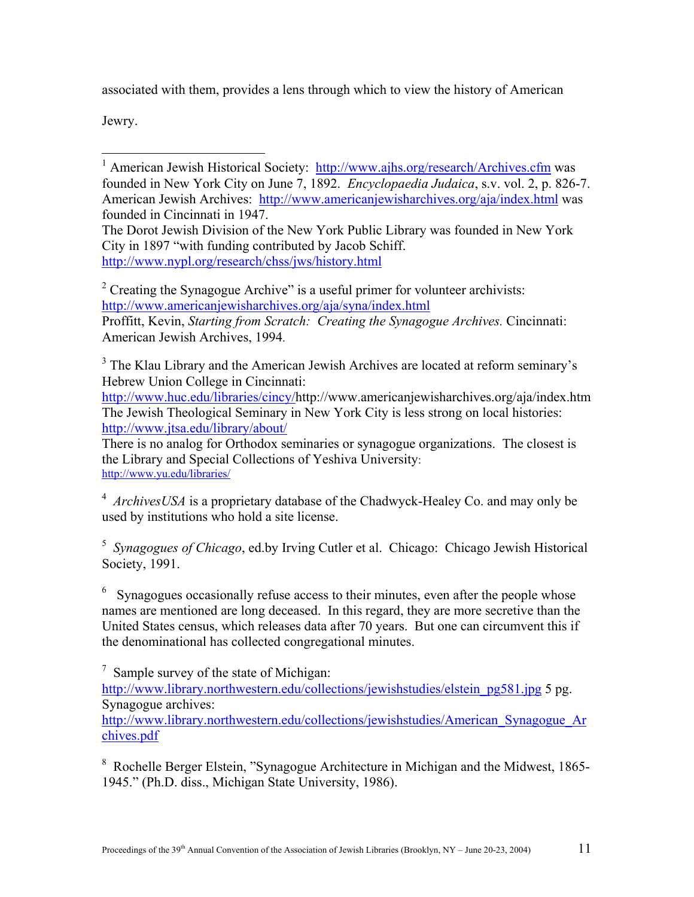associated with them, provides a lens through which to view the history of American

Jewry.

The Dorot Jewish Division of the New York Public Library was founded in New York City in 1897 "with funding contributed by Jacob Schiff. <http://www.nypl.org/research/chss/jws/history.html>

<sup>2</sup> Creating the Synagogue Archive" is a useful primer for volunteer archivists: <http://www.americanjewisharchives.org/aja/syna/index.html>

Proffitt, Kevin, *Starting from Scratch: Creating the Synagogue Archives.* Cincinnati: American Jewish Archives, 1994.

<sup>3</sup> The Klau Library and the American Jewish Archives are located at reform seminary's Hebrew Union College in Cincinnati:

<http://www.huc.edu/libraries/cincy/><http://www.americanjewisharchives.org/aja/index.htm> The Jewish Theological Seminary in New York City is less strong on local histories: <http://www.jtsa.edu/library/about/>

There is no analog for Orthodox seminaries or synagogue organizations. The closest is the Library and Special Collections of Yeshiva University: <http://www.yu.edu/libraries/>

<sup>4</sup> ArchivesUSA is a proprietary database of the Chadwyck-Healey Co. and may only be used by institutions who hold a site license.

5  *Synagogues of Chicago*, ed.by Irving Cutler et al. Chicago: Chicago Jewish Historical Society, 1991.

 $6$  Synagogues occasionally refuse access to their minutes, even after the people whose names are mentioned are long deceased. In this regard, they are more secretive than the United States census, which releases data after 70 years. But one can circumvent this if the denominational has collected congregational minutes.

 $7$  Sample survey of the state of Michigan: [http://www.library.northwestern.edu/collections/jewishstudies/elstein\\_pg581.jpg](http://www.library.northwestern.edu/collections/jewishstudies/elstein_pg581.jpg) 5 pg. Synagogue archives: [http://www.library.northwestern.edu/collections/jewishstudies/American\\_Synagogue\\_Ar](http://www.library.northwestern.edu/collections/jewishstudies/American_Synagogue_Ar) chives.pdf

<sup>8</sup> Rochelle Berger Elstein, "Synagogue Architecture in Michigan and the Midwest, 1865-1945." (Ph.D. diss., Michigan State University, 1986).

 $\overline{a}$ <sup>1</sup> American Jewish Historical Society: <http://www.ajhs.org/research/Archives.cfm> was founded in New York City on June 7, 1892. *Encyclopaedia Judaica*, s.v. vol. 2, p. 826-7. American Jewish Archives: <http://www.americanjewisharchives.org/aja/index.html>was founded in Cincinnati in 1947.